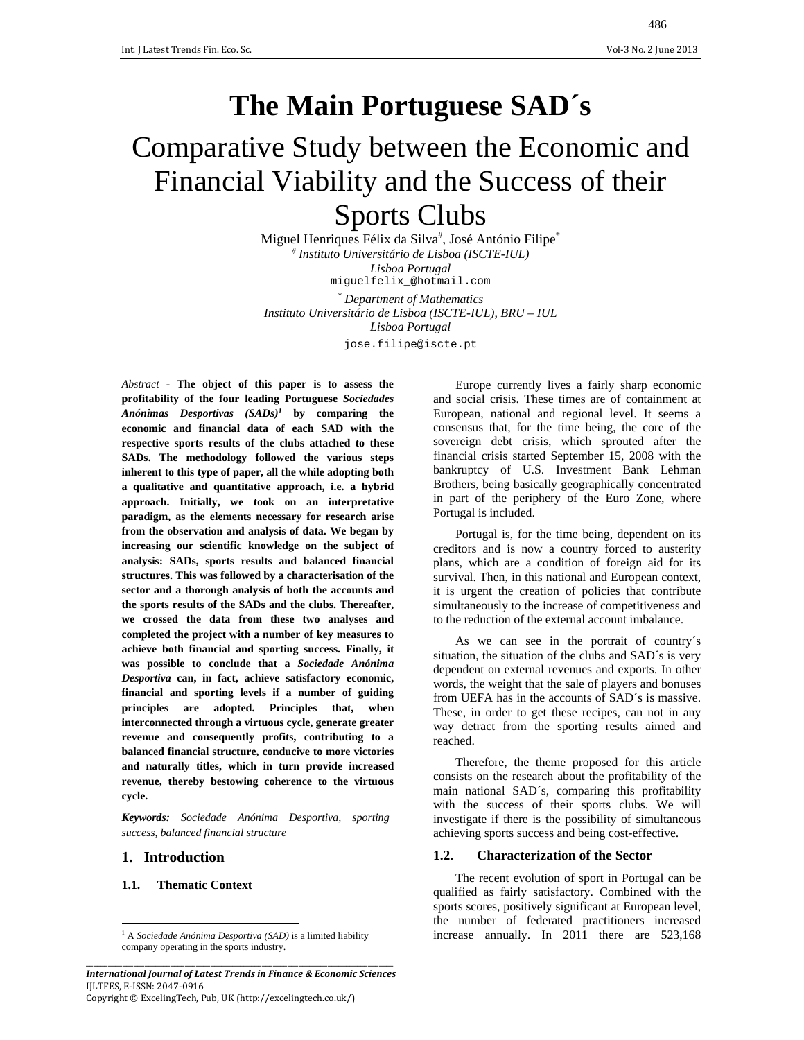# **The Main Portuguese SAD´s**

# Comparative Study between the Economic and Financial Viability and the Success of their Sports Clubs

Miguel Henriques Félix da Silva<sup>#</sup>, José António Filipe<sup>\*</sup> *# Instituto Universitário de Lisboa (ISCTE-IUL) Lisboa Portugal*  miguelfelix\_@hotmail.com

*\* Department of Mathematics* 

*Instituto Universitário de Lisboa (ISCTE-IUL), BRU – IUL Lisboa Portugal* 

jose.filipe@iscte.pt

*Abstract -* **The object of this paper is to assess the profitability of the four leading Portuguese** *Sociedades Anónimas Desportivas (SADs)1* **by comparing the economic and financial data of each SAD with the respective sports results of the clubs attached to these SADs. The methodology followed the various steps inherent to this type of paper, all the while adopting both a qualitative and quantitative approach, i.e. a hybrid approach. Initially, we took on an interpretative paradigm, as the elements necessary for research arise from the observation and analysis of data. We began by increasing our scientific knowledge on the subject of analysis: SADs, sports results and balanced financial structures. This was followed by a characterisation of the sector and a thorough analysis of both the accounts and the sports results of the SADs and the clubs. Thereafter, we crossed the data from these two analyses and completed the project with a number of key measures to achieve both financial and sporting success. Finally, it was possible to conclude that a** *Sociedade Anónima Desportiva* **can, in fact, achieve satisfactory economic, financial and sporting levels if a number of guiding principles are adopted. Principles that, when interconnected through a virtuous cycle, generate greater revenue and consequently profits, contributing to a balanced financial structure, conducive to more victories and naturally titles, which in turn provide increased revenue, thereby bestowing coherence to the virtuous cycle.** 

*Keywords: Sociedade Anónima Desportiva, sporting success, balanced financial structure* 

# **1. Introduction**

### **1.1. Thematic Context**

Europe currently lives a fairly sharp economic and social crisis. These times are of containment at European, national and regional level. It seems a consensus that, for the time being, the core of the sovereign debt crisis, which sprouted after the financial crisis started September 15, 2008 with the bankruptcy of U.S. Investment Bank Lehman Brothers, being basically geographically concentrated in part of the periphery of the Euro Zone, where Portugal is included.

Portugal is, for the time being, dependent on its creditors and is now a country forced to austerity plans, which are a condition of foreign aid for its survival. Then, in this national and European context, it is urgent the creation of policies that contribute simultaneously to the increase of competitiveness and to the reduction of the external account imbalance.

As we can see in the portrait of country´s situation, the situation of the clubs and SAD´s is very dependent on external revenues and exports. In other words, the weight that the sale of players and bonuses from UEFA has in the accounts of SAD´s is massive. These, in order to get these recipes, can not in any way detract from the sporting results aimed and reached.

Therefore, the theme proposed for this article consists on the research about the profitability of the main national SAD´s, comparing this profitability with the success of their sports clubs. We will investigate if there is the possibility of simultaneous achieving sports success and being cost-effective.

### **1.2. Characterization of the Sector**

The recent evolution of sport in Portugal can be qualified as fairly satisfactory. Combined with the sports scores, positively significant at European level, the number of federated practitioners increased increase annually. In 2011 there are 523,168

 <sup>1</sup> A *Sociedade Anónima Desportiva (SAD)* is a limited liability company operating in the sports industry.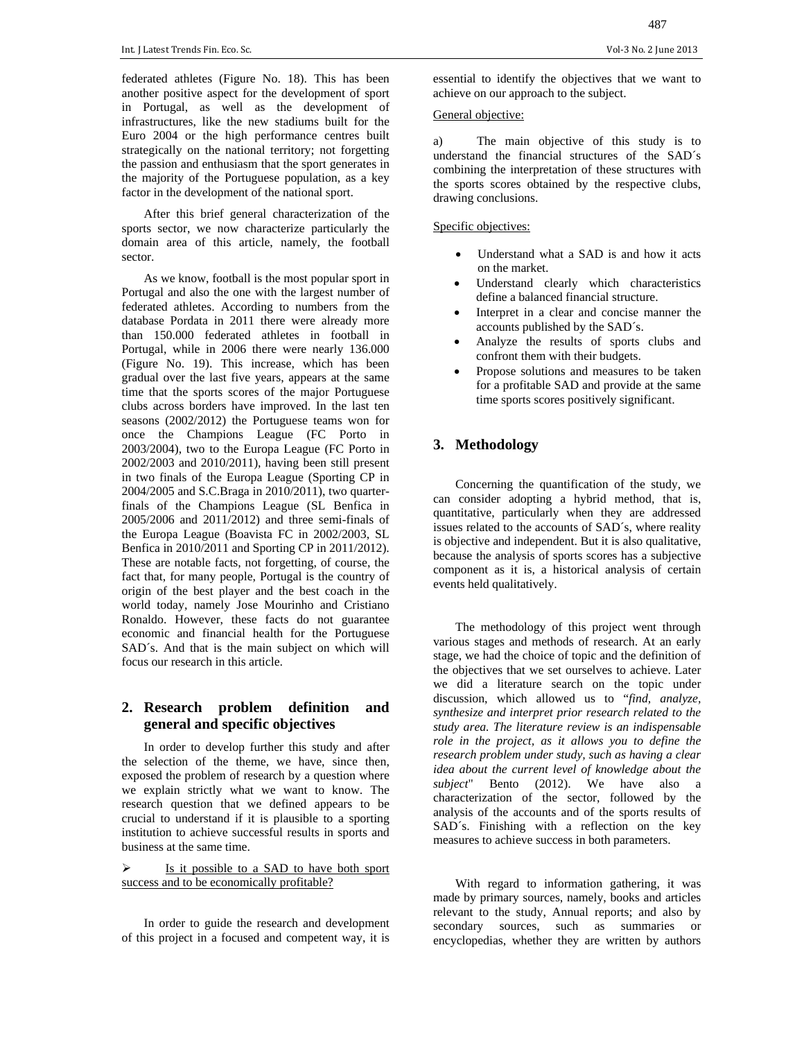federated athletes (Figure No. 18). This has been another positive aspect for the development of sport in Portugal, as well as the development of infrastructures, like the new stadiums built for the Euro 2004 or the high performance centres built strategically on the national territory; not forgetting the passion and enthusiasm that the sport generates in the majority of the Portuguese population, as a key factor in the development of the national sport.

After this brief general characterization of the sports sector, we now characterize particularly the domain area of this article, namely, the football sector.

As we know, football is the most popular sport in Portugal and also the one with the largest number of federated athletes. According to numbers from the database Pordata in 2011 there were already more than 150.000 federated athletes in football in Portugal, while in 2006 there were nearly 136.000 (Figure No. 19). This increase, which has been gradual over the last five years, appears at the same time that the sports scores of the major Portuguese clubs across borders have improved. In the last ten seasons (2002/2012) the Portuguese teams won for once the Champions League (FC Porto in 2003/2004), two to the Europa League (FC Porto in 2002/2003 and 2010/2011), having been still present in two finals of the Europa League (Sporting CP in 2004/2005 and S.C.Braga in 2010/2011), two quarterfinals of the Champions League (SL Benfica in 2005/2006 and 2011/2012) and three semi-finals of the Europa League (Boavista FC in 2002/2003, SL Benfica in 2010/2011 and Sporting CP in 2011/2012). These are notable facts, not forgetting, of course, the fact that, for many people, Portugal is the country of origin of the best player and the best coach in the world today, namely Jose Mourinho and Cristiano Ronaldo. However, these facts do not guarantee economic and financial health for the Portuguese SAD´s. And that is the main subject on which will focus our research in this article.

# **2. Research problem definition and general and specific objectives**

In order to develop further this study and after the selection of the theme, we have, since then, exposed the problem of research by a question where we explain strictly what we want to know. The research question that we defined appears to be crucial to understand if it is plausible to a sporting institution to achieve successful results in sports and business at the same time.

#### $\triangleright$  Is it possible to a SAD to have both sport success and to be economically profitable?

In order to guide the research and development of this project in a focused and competent way, it is essential to identify the objectives that we want to achieve on our approach to the subject.

### General objective:

a) The main objective of this study is to understand the financial structures of the SAD´s combining the interpretation of these structures with the sports scores obtained by the respective clubs, drawing conclusions.

#### Specific objectives:

- Understand what a SAD is and how it acts on the market.
- Understand clearly which characteristics define a balanced financial structure.
- Interpret in a clear and concise manner the accounts published by the SAD´s.
- Analyze the results of sports clubs and confront them with their budgets.
- Propose solutions and measures to be taken for a profitable SAD and provide at the same time sports scores positively significant.

# **3. Methodology**

Concerning the quantification of the study, we can consider adopting a hybrid method, that is, quantitative, particularly when they are addressed issues related to the accounts of SAD´s, where reality is objective and independent. But it is also qualitative, because the analysis of sports scores has a subjective component as it is, a historical analysis of certain events held qualitatively.

The methodology of this project went through various stages and methods of research. At an early stage, we had the choice of topic and the definition of the objectives that we set ourselves to achieve. Later we did a literature search on the topic under discussion, which allowed us to "*find, analyze, synthesize and interpret prior research related to the study area. The literature review is an indispensable role in the project, as it allows you to define the research problem under study, such as having a clear idea about the current level of knowledge about the subject*" Bento (2012). We have also a characterization of the sector, followed by the analysis of the accounts and of the sports results of SAD´s. Finishing with a reflection on the key measures to achieve success in both parameters.

With regard to information gathering, it was made by primary sources, namely, books and articles relevant to the study, Annual reports; and also by secondary sources, such as summaries or encyclopedias, whether they are written by authors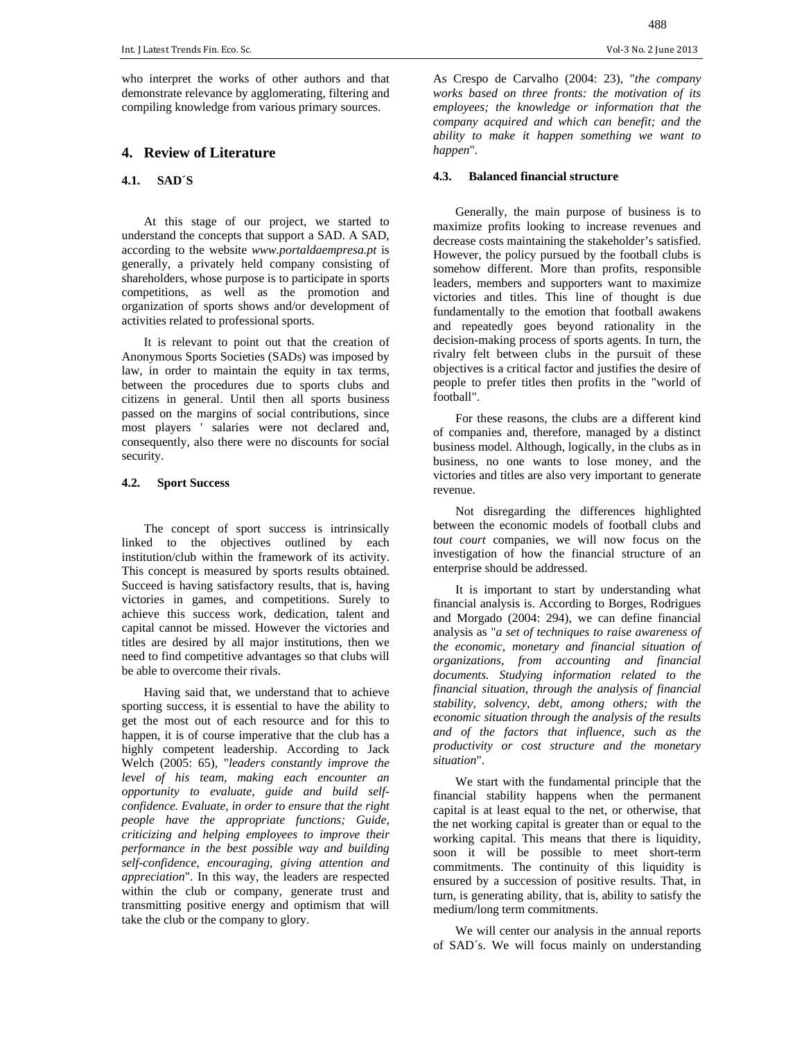who interpret the works of other authors and that demonstrate relevance by agglomerating, filtering and compiling knowledge from various primary sources.

#### **4. Review of Literature**

# **4.1. SAD´S**

At this stage of our project, we started to understand the concepts that support a SAD. A SAD, according to the website *www.portaldaempresa.pt* is generally, a privately held company consisting of shareholders, whose purpose is to participate in sports competitions, as well as the promotion and organization of sports shows and/or development of activities related to professional sports.

It is relevant to point out that the creation of Anonymous Sports Societies (SADs) was imposed by law, in order to maintain the equity in tax terms, between the procedures due to sports clubs and citizens in general. Until then all sports business passed on the margins of social contributions, since most players ' salaries were not declared and, consequently, also there were no discounts for social security.

#### **4.2. Sport Success**

The concept of sport success is intrinsically linked to the objectives outlined by each institution/club within the framework of its activity. This concept is measured by sports results obtained. Succeed is having satisfactory results, that is, having victories in games, and competitions. Surely to achieve this success work, dedication, talent and capital cannot be missed. However the victories and titles are desired by all major institutions, then we need to find competitive advantages so that clubs will be able to overcome their rivals.

Having said that, we understand that to achieve sporting success, it is essential to have the ability to get the most out of each resource and for this to happen, it is of course imperative that the club has a highly competent leadership. According to Jack Welch (2005: 65), "*leaders constantly improve the level of his team, making each encounter an opportunity to evaluate, guide and build selfconfidence. Evaluate, in order to ensure that the right people have the appropriate functions; Guide, criticizing and helping employees to improve their performance in the best possible way and building self-confidence, encouraging, giving attention and appreciation*". In this way, the leaders are respected within the club or company, generate trust and transmitting positive energy and optimism that will take the club or the company to glory.

As Crespo de Carvalho (2004: 23), "*the company works based on three fronts: the motivation of its employees; the knowledge or information that the company acquired and which can benefit; and the ability to make it happen something we want to happen*".

#### **4.3. Balanced financial structure**

Generally, the main purpose of business is to maximize profits looking to increase revenues and decrease costs maintaining the stakeholder's satisfied. However, the policy pursued by the football clubs is somehow different. More than profits, responsible leaders, members and supporters want to maximize victories and titles. This line of thought is due fundamentally to the emotion that football awakens and repeatedly goes beyond rationality in the decision-making process of sports agents. In turn, the rivalry felt between clubs in the pursuit of these objectives is a critical factor and justifies the desire of people to prefer titles then profits in the "world of football".

For these reasons, the clubs are a different kind of companies and, therefore, managed by a distinct business model. Although, logically, in the clubs as in business, no one wants to lose money, and the victories and titles are also very important to generate revenue.

Not disregarding the differences highlighted between the economic models of football clubs and *tout court* companies, we will now focus on the investigation of how the financial structure of an enterprise should be addressed.

It is important to start by understanding what financial analysis is. According to Borges, Rodrigues and Morgado (2004: 294), we can define financial analysis as "*a set of techniques to raise awareness of the economic, monetary and financial situation of organizations, from accounting and financial documents. Studying information related to the financial situation, through the analysis of financial stability, solvency, debt, among others; with the economic situation through the analysis of the results and of the factors that influence, such as the productivity or cost structure and the monetary situation*".

We start with the fundamental principle that the financial stability happens when the permanent capital is at least equal to the net, or otherwise, that the net working capital is greater than or equal to the working capital. This means that there is liquidity, soon it will be possible to meet short-term commitments. The continuity of this liquidity is ensured by a succession of positive results. That, in turn, is generating ability, that is, ability to satisfy the medium/long term commitments.

We will center our analysis in the annual reports of SAD´s. We will focus mainly on understanding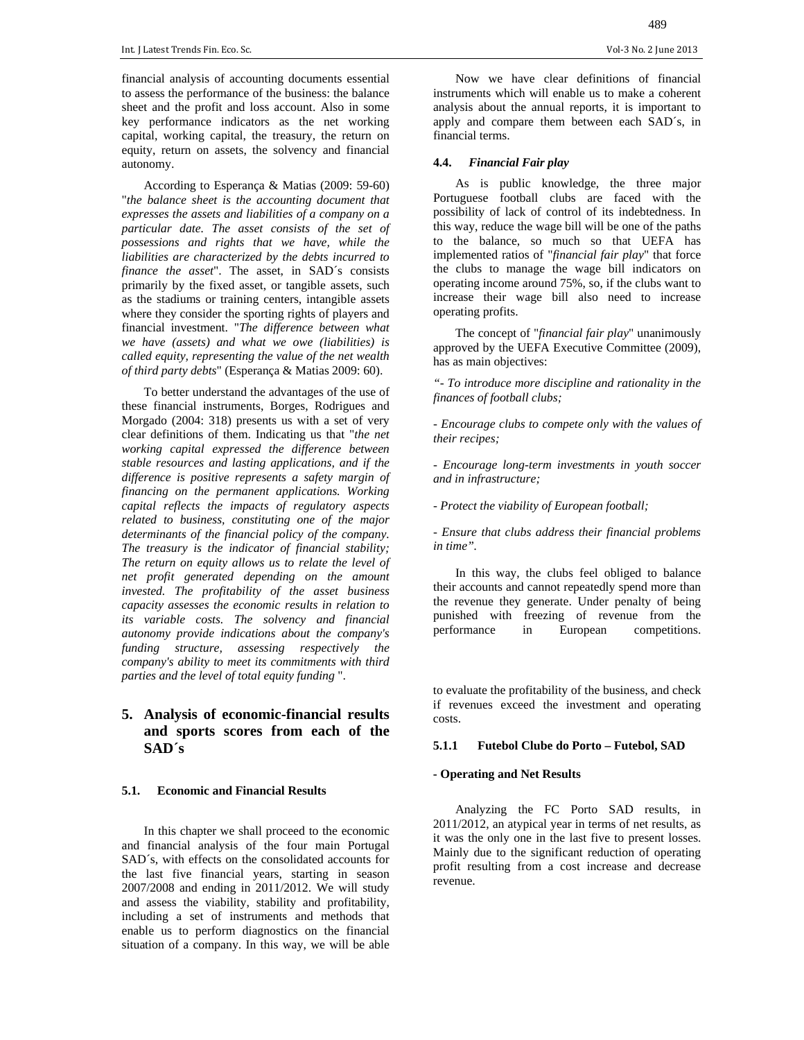financial analysis of accounting documents essential to assess the performance of the business: the balance sheet and the profit and loss account. Also in some key performance indicators as the net working capital, working capital, the treasury, the return on equity, return on assets, the solvency and financial autonomy.

According to Esperança & Matias (2009: 59-60) "*the balance sheet is the accounting document that expresses the assets and liabilities of a company on a particular date. The asset consists of the set of possessions and rights that we have, while the liabilities are characterized by the debts incurred to finance the asset*". The asset, in SAD´s consists primarily by the fixed asset, or tangible assets, such as the stadiums or training centers, intangible assets where they consider the sporting rights of players and financial investment. "*The difference between what we have (assets) and what we owe (liabilities) is called equity, representing the value of the net wealth of third party debts*" (Esperança & Matias 2009: 60).

To better understand the advantages of the use of these financial instruments, Borges, Rodrigues and Morgado (2004: 318) presents us with a set of very clear definitions of them. Indicating us that "*the net working capital expressed the difference between stable resources and lasting applications, and if the difference is positive represents a safety margin of financing on the permanent applications. Working capital reflects the impacts of regulatory aspects related to business, constituting one of the major determinants of the financial policy of the company. The treasury is the indicator of financial stability; The return on equity allows us to relate the level of net profit generated depending on the amount invested. The profitability of the asset business capacity assesses the economic results in relation to its variable costs. The solvency and financial autonomy provide indications about the company's funding structure, assessing respectively the company's ability to meet its commitments with third parties and the level of total equity funding* ".

# **5. Analysis of economic-financial results and sports scores from each of the SAD´s**

#### **5.1. Economic and Financial Results**

In this chapter we shall proceed to the economic and financial analysis of the four main Portugal SAD´s, with effects on the consolidated accounts for the last five financial years, starting in season 2007/2008 and ending in 2011/2012. We will study and assess the viability, stability and profitability, including a set of instruments and methods that enable us to perform diagnostics on the financial situation of a company. In this way, we will be able

Now we have clear definitions of financial instruments which will enable us to make a coherent analysis about the annual reports, it is important to apply and compare them between each SAD´s, in financial terms.

#### **4.4.** *Financial Fair play*

As is public knowledge, the three major Portuguese football clubs are faced with the possibility of lack of control of its indebtedness. In this way, reduce the wage bill will be one of the paths to the balance, so much so that UEFA has implemented ratios of "*financial fair play*" that force the clubs to manage the wage bill indicators on operating income around 75%, so, if the clubs want to increase their wage bill also need to increase operating profits.

The concept of "*financial fair play*" unanimously approved by the UEFA Executive Committee (2009), has as main objectives:

*"- To introduce more discipline and rationality in the finances of football clubs;* 

*- Encourage clubs to compete only with the values of their recipes;* 

*- Encourage long-term investments in youth soccer and in infrastructure;* 

*- Protect the viability of European football;* 

*- Ensure that clubs address their financial problems in time".* 

In this way, the clubs feel obliged to balance their accounts and cannot repeatedly spend more than the revenue they generate. Under penalty of being punished with freezing of revenue from the performance in European competitions.

to evaluate the profitability of the business, and check if revenues exceed the investment and operating costs.

#### **5.1.1 Futebol Clube do Porto – Futebol, SAD**

#### **- Operating and Net Results**

Analyzing the FC Porto SAD results, in 2011/2012, an atypical year in terms of net results, as it was the only one in the last five to present losses. Mainly due to the significant reduction of operating profit resulting from a cost increase and decrease revenue.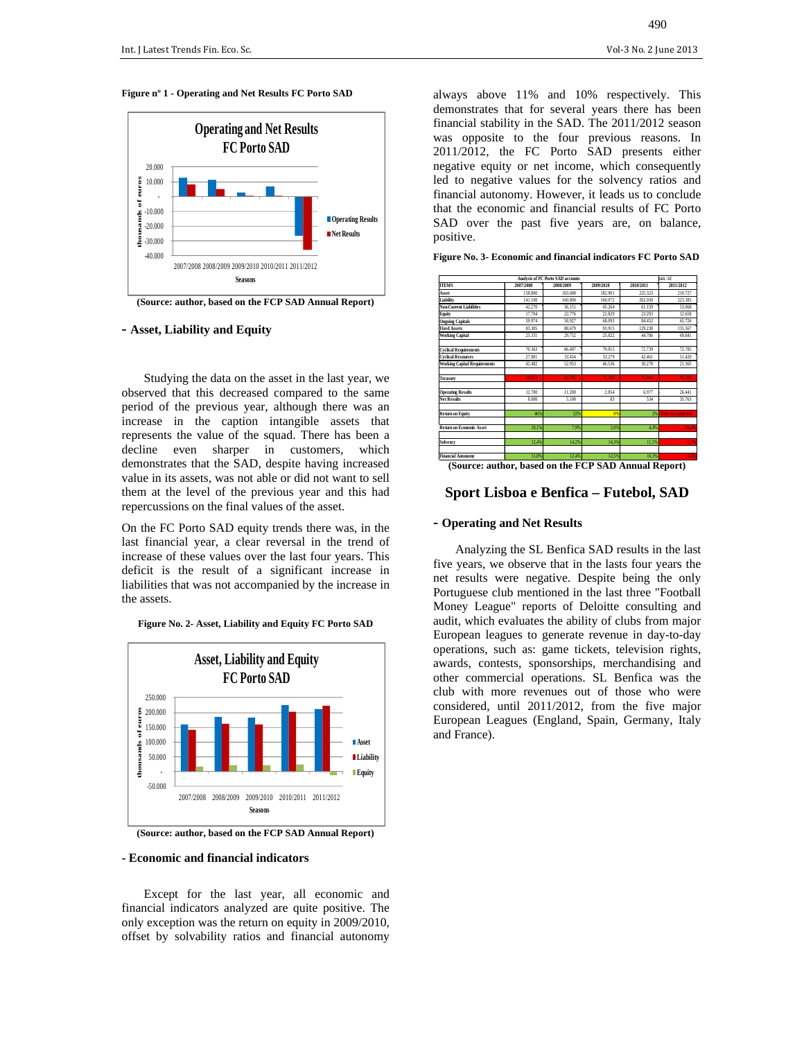#### **Figure nº 1 - Operating and Net Results FC Porto SAD**



**(Source: author, based on the FCP SAD Annual Report)** 

#### **- Asset, Liability and Equity**

Studying the data on the asset in the last year, we observed that this decreased compared to the same period of the previous year, although there was an increase in the caption intangible assets that represents the value of the squad. There has been a decline even sharper in customers, which demonstrates that the SAD, despite having increased value in its assets, was not able or did not want to sell them at the level of the previous year and this had repercussions on the final values of the asset.

On the FC Porto SAD equity trends there was, in the last financial year, a clear reversal in the trend of increase of these values over the last four years. This deficit is the result of a significant increase in liabilities that was not accompanied by the increase in the assets.

**Figure No. 2- Asset, Liability and Equity FC Porto SAD** 



**(Source: author, based on the FCP SAD Annual Report)** 

#### **- Economic and financial indicators**

Except for the last year, all economic and financial indicators analyzed are quite positive. The only exception was the return on equity in 2009/2010, offset by solvability ratios and financial autonomy

always above 11% and 10% respectively. This demonstrates that for several years there has been financial stability in the SAD. The 2011/2012 season was opposite to the four previous reasons. In 2011/2012, the FC Porto SAD presents either negative equity or net income, which consequently led to negative values for the solvency ratios and financial autonomy. However, it leads us to conclude that the economic and financial results of FC Porto SAD over the past five years are, on balance, positive.

**Figure No. 3- Economic and financial indicators FC Porto SAD** 



#### **Sport Lisboa e Benfica – Futebol, SAD**

#### **- Operating and Net Results**

Analyzing the SL Benfica SAD results in the last five years, we observe that in the lasts four years the net results were negative. Despite being the only Portuguese club mentioned in the last three "Football Money League" reports of Deloitte consulting and audit, which evaluates the ability of clubs from major European leagues to generate revenue in day-to-day operations, such as: game tickets, television rights, awards, contests, sponsorships, merchandising and other commercial operations. SL Benfica was the club with more revenues out of those who were considered, until 2011/2012, from the five major European Leagues (England, Spain, Germany, Italy and France).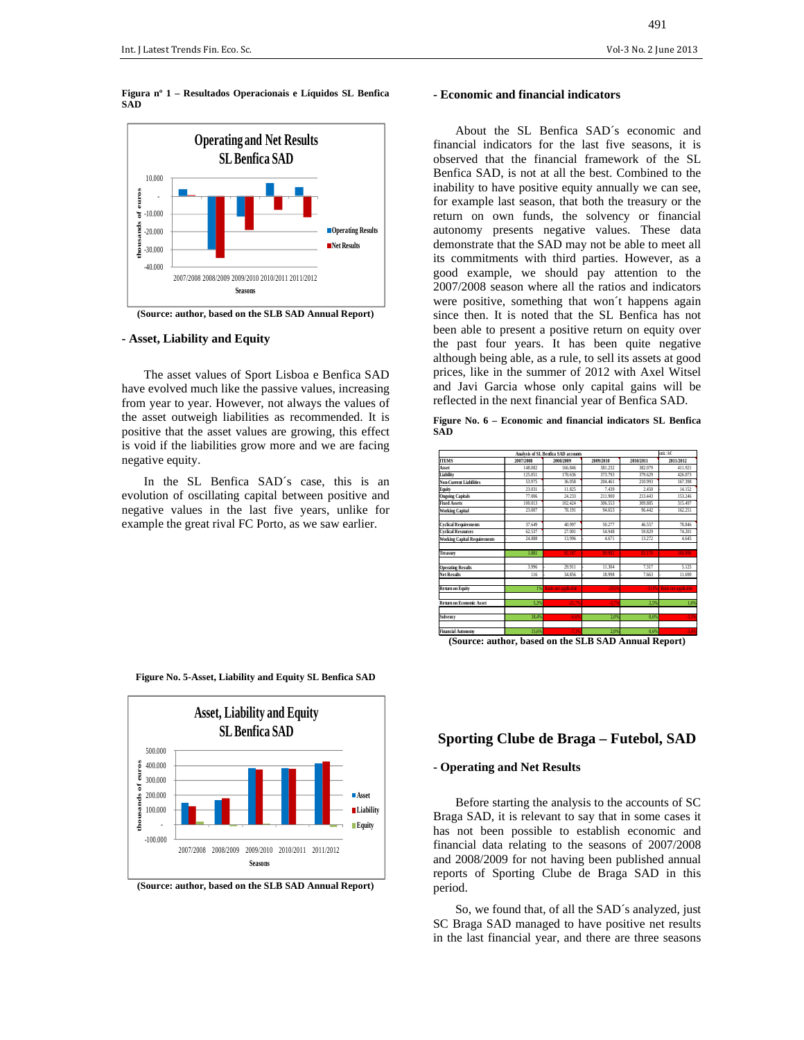**Figura nº 1 – Resultados Operacionais e Líquidos SL Benfica SAD** 



**(Source: author, based on the SLB SAD Annual Report)** 

#### **- Asset, Liability and Equity**

The asset values of Sport Lisboa e Benfica SAD have evolved much like the passive values, increasing from year to year. However, not always the values of the asset outweigh liabilities as recommended. It is positive that the asset values are growing, this effect is void if the liabilities grow more and we are facing negative equity.

In the SL Benfica SAD´s case, this is an evolution of oscillating capital between positive and negative values in the last five years, unlike for example the great rival FC Porto, as we saw earlier.

#### **- Economic and financial indicators**

About the SL Benfica SAD´s economic and financial indicators for the last five seasons, it is observed that the financial framework of the SL Benfica SAD, is not at all the best. Combined to the inability to have positive equity annually we can see, for example last season, that both the treasury or the return on own funds, the solvency or financial autonomy presents negative values. These data demonstrate that the SAD may not be able to meet all its commitments with third parties. However, as a good example, we should pay attention to the 2007/2008 season where all the ratios and indicators were positive, something that won´t happens again since then. It is noted that the SL Benfica has not been able to present a positive return on equity over the past four years. It has been quite negative although being able, as a rule, to sell its assets at good prices, like in the summer of 2012 with Axel Witsel and Javi Garcia whose only capital gains will be reflected in the next financial year of Benfica SAD.

|     |  |  | Figure No. 6 – Economic and financial indicators SL Benfica |  |
|-----|--|--|-------------------------------------------------------------|--|
| SAD |  |  |                                                             |  |



**(Source: author, based on the SLB SAD Annual Report)** 



#### **Figure No. 5-Asset, Liability and Equity SL Benfica SAD**

# **Sporting Clube de Braga – Futebol, SAD**

# **- Operating and Net Results**

Before starting the analysis to the accounts of SC Braga SAD, it is relevant to say that in some cases it has not been possible to establish economic and financial data relating to the seasons of 2007/2008 and 2008/2009 for not having been published annual reports of Sporting Clube de Braga SAD in this period.

So, we found that, of all the SAD´s analyzed, just SC Braga SAD managed to have positive net results in the last financial year, and there are three seasons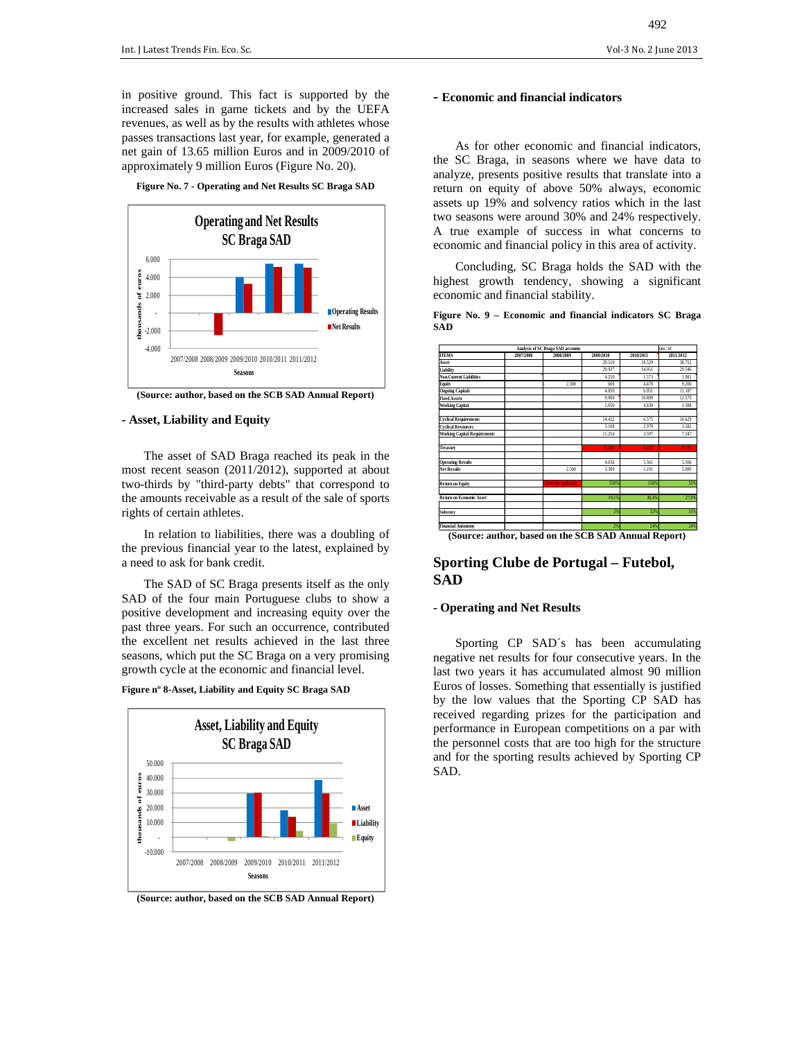in positive ground. This fact is supported by the increased sales in game tickets and by the UEFA revenues, as well as by the results with athletes whose passes transactions last year, for example, generated a net gain of 13.65 million Euros and in 2009/2010 of approximately 9 million Euros (Figure No. 20).

**Figure No. 7 - Operating and Net Results SC Braga SAD** 



**(Source: author, based on the SCB SAD Annual Report)** 

#### **- Asset, Liability and Equity**

The asset of SAD Braga reached its peak in the most recent season (2011/2012), supported at about two-thirds by "third-party debts" that correspond to the amounts receivable as a result of the sale of sports rights of certain athletes.

In relation to liabilities, there was a doubling of the previous financial year to the latest, explained by a need to ask for bank credit.

The SAD of SC Braga presents itself as the only SAD of the four main Portuguese clubs to show a positive development and increasing equity over the past three years. For such an occurrence, contributed the excellent net results achieved in the last three seasons, which put the SC Braga on a very promising growth cycle at the economic and financial level.

**Figure nº 8-Asset, Liability and Equity SC Braga SAD** 



**(Source: author, based on the SCB SAD Annual Report)** 

#### **- Economic and financial indicators**

As for other economic and financial indicators, the SC Braga, in seasons where we have data to analyze, presents positive results that translate into a return on equity of above 50% always, economic assets up 19% and solvency ratios which in the last two seasons were around 30% and 24% respectively. A true example of success in what concerns to economic and financial policy in this area of activity.

Concluding, SC Braga holds the SAD with the highest growth tendency, showing a significant economic and financial stability.

|            |  | Figure No. 9 – Economic and financial indicators SC Braga |  |  |  |
|------------|--|-----------------------------------------------------------|--|--|--|
| <b>SAD</b> |  |                                                           |  |  |  |

| Analysis of SC Braga SAD accounts<br>unit∴k€ |           |                      |           |           |           |  |  |
|----------------------------------------------|-----------|----------------------|-----------|-----------|-----------|--|--|
| <b>ITEMS</b>                                 | 2007/2008 | 2008/2009            | 2009/2010 | 2010/2011 | 2011/2012 |  |  |
| Asset                                        |           |                      | 29.510    | 18.529    | 38.752    |  |  |
| Liability                                    |           |                      | 29.937    | 14.051    | 29.546    |  |  |
| <b>Non-Current Liabilities</b>               |           |                      | 4.250     | 1573      | 1981      |  |  |
| Equity                                       |           | 2.300                | 600       | 4,478     | 9.206     |  |  |
| <b>Ongoing Capitals</b>                      |           |                      | 4850      | 6.051     | 11.187    |  |  |
| <b>Fixed Assets</b>                          |           |                      | 9.900     | 10.889    | 12.575    |  |  |
| <b>Working Capital</b>                       |           |                      | 5.050     | 4.838     | 1.388     |  |  |
| <b>Cyclical Requirements</b>                 |           |                      | 14.422    | 6.575     | 10.629    |  |  |
| <b>Cyclical Resources</b>                    |           |                      | 3168      | 2.978     | 3.282     |  |  |
| <b>Working Capital Requirements</b>          |           |                      | 11.254    | 3.597     | 7347      |  |  |
| Treasury                                     |           |                      | 16.304    | 8.435     | 8.735     |  |  |
| <b>Operating Results</b>                     |           |                      | 4.036     | 5.561     | 5.566     |  |  |
| <b>Net Results</b>                           |           | 2.500                | 3.300     | 5.191     | 5.089     |  |  |
| <b>Return on Equity</b>                      |           | Ratio not applicable | 550%      | 116%      | 55%       |  |  |
| <b>Return on Economic Asset</b>              |           |                      | 19.1%     | 38.4%     | 27.9%     |  |  |
| Solvency                                     |           |                      | 2%        | 32%       | 31%       |  |  |
| <b>Financial Autonomy</b>                    |           |                      | 2%        | 24%       | 24%       |  |  |

**(Source: author, based on the SCB SAD Annual Report)** 

# **Sporting Clube de Portugal – Futebol, SAD**

#### **- Operating and Net Results**

Sporting CP SAD´s has been accumulating negative net results for four consecutive years. In the last two years it has accumulated almost 90 million Euros of losses. Something that essentially is justified by the low values that the Sporting CP SAD has received regarding prizes for the participation and performance in European competitions on a par with the personnel costs that are too high for the structure and for the sporting results achieved by Sporting CP SAD.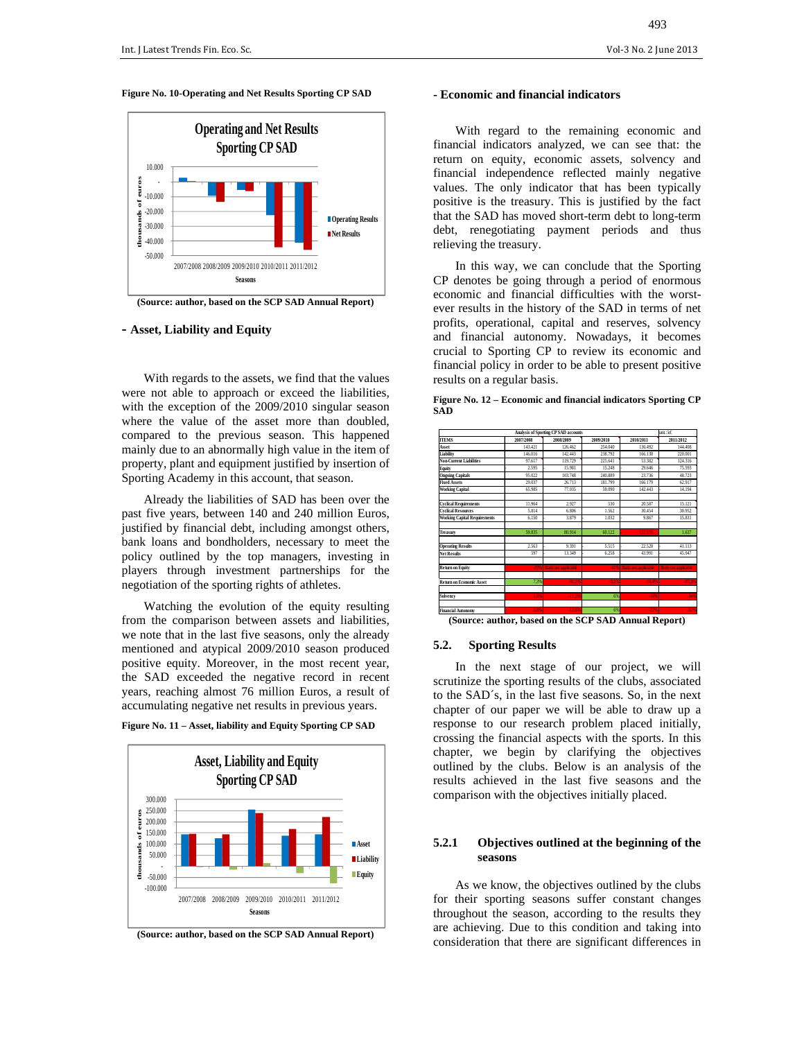#### **Figure No. 10-Operating and Net Results Sporting CP SAD**



**(Source: author, based on the SCP SAD Annual Report)** 

#### **- Asset, Liability and Equity**

With regards to the assets, we find that the values were not able to approach or exceed the liabilities, with the exception of the 2009/2010 singular season where the value of the asset more than doubled, compared to the previous season. This happened mainly due to an abnormally high value in the item of property, plant and equipment justified by insertion of Sporting Academy in this account, that season.

Already the liabilities of SAD has been over the past five years, between 140 and 240 million Euros, justified by financial debt, including amongst others, bank loans and bondholders, necessary to meet the policy outlined by the top managers, investing in players through investment partnerships for the negotiation of the sporting rights of athletes.

Watching the evolution of the equity resulting from the comparison between assets and liabilities, we note that in the last five seasons, only the already mentioned and atypical 2009/2010 season produced positive equity. Moreover, in the most recent year, the SAD exceeded the negative record in recent years, reaching almost 76 million Euros, a result of accumulating negative net results in previous years.



**Figure No. 11 – Asset, liability and Equity Sporting CP SAD** 

#### **- Economic and financial indicators**

With regard to the remaining economic and financial indicators analyzed, we can see that: the return on equity, economic assets, solvency and financial independence reflected mainly negative values. The only indicator that has been typically positive is the treasury. This is justified by the fact that the SAD has moved short-term debt to long-term debt, renegotiating payment periods and thus relieving the treasury.

In this way, we can conclude that the Sporting CP denotes be going through a period of enormous economic and financial difficulties with the worstever results in the history of the SAD in terms of net profits, operational, capital and reserves, solvency and financial autonomy. Nowadays, it becomes crucial to Sporting CP to review its economic and financial policy in order to be able to present positive results on a regular basis.

**Figure No. 12 – Economic and financial indicators Sporting CP SAD** 

|                                               | unit:k€           |                              |           |                      |                      |
|-----------------------------------------------|-------------------|------------------------------|-----------|----------------------|----------------------|
| <b>TTEMS</b>                                  | 2007/2008         | 2008/2009                    | 2009/2010 | 2010/2011            | 2011/2012            |
| Asset                                         | 143.421           | 126 462                      | 254,040   | 136,492              | 144 408              |
| Liability                                     | 146 016           | 142.443                      | 238.792   | 166.138              | 220.001              |
| <b>Non-Current Liabilities</b>                | 97.617            | 119.729                      | 225.641   | 53.382               | 124.316              |
| Equity                                        | 2.595             | 15.981                       | 15.248    | 29.646               | 75.593               |
| <b>Ongoing Capitals</b>                       | 95.022            | 103.748                      | 240,889   | 23.736               | 48.723               |
| <b>Fixed Assets</b>                           | 29.037            | 26.713                       | 181.799   | 166.179              | 62.917               |
| <b>Working Capital</b>                        | 65.985            | 77.035                       | 59.090    | 142.443              | 14.194               |
| <b>Cyclical Requirements</b>                  | 11.964            | 2.927                        | 530       | 20.587               | 15.121               |
| <b>Cyclical Resources</b>                     | 5.814             | 6.806                        | 1.562     | 30.454               | 30.952               |
| <b>Working Capital Requirements</b>           | 6.150             | 3.879                        | 1.032     | 9.867                | 15.831               |
| Treasury                                      | 59.835            | 80.914                       | 60.122    | 132.576              | 1.637                |
| <b>Operating Results</b>                      | 2.563             | 9.391                        | 5.515     | 22.528               | 41.113               |
| <b>Net Results</b>                            | 597               | 13.349                       | 6.258     | 43.991               | 45.947               |
| <b>Return on Equity</b>                       | -23%              | Ratio not applicable         | -41%      | Ratio not applicable | Ratio not applicable |
| <b>Return on Economic Asset</b>               | 7,3%              | -41.1%                       | -3.1%     | $-14.4%$             | $-87.3%$             |
| Solvency                                      | $-1.8%$           | $-11.2%$                     | 6%        | -18%                 | -34%                 |
| <b>Financial Autonomy</b><br>$\sim$<br>$\sim$ | $-1.8%$<br>$\sim$ | $-12,6%$<br>$\sim$ 30 $\sim$ | 6%        | $-22%$<br>- -        | $-52%$<br>14.94      |

**(Source: author, based on the SCP SAD Annual Report)** 

#### **5.2. Sporting Results**

In the next stage of our project, we will scrutinize the sporting results of the clubs, associated to the SAD´s, in the last five seasons. So, in the next chapter of our paper we will be able to draw up a response to our research problem placed initially, crossing the financial aspects with the sports. In this chapter, we begin by clarifying the objectives outlined by the clubs. Below is an analysis of the results achieved in the last five seasons and the comparison with the objectives initially placed.

#### **5.2.1 Objectives outlined at the beginning of the seasons**

As we know, the objectives outlined by the clubs for their sporting seasons suffer constant changes throughout the season, according to the results they are achieving. Due to this condition and taking into consideration that there are significant differences in

**<sup>(</sup>Source: author, based on the SCP SAD Annual Report)**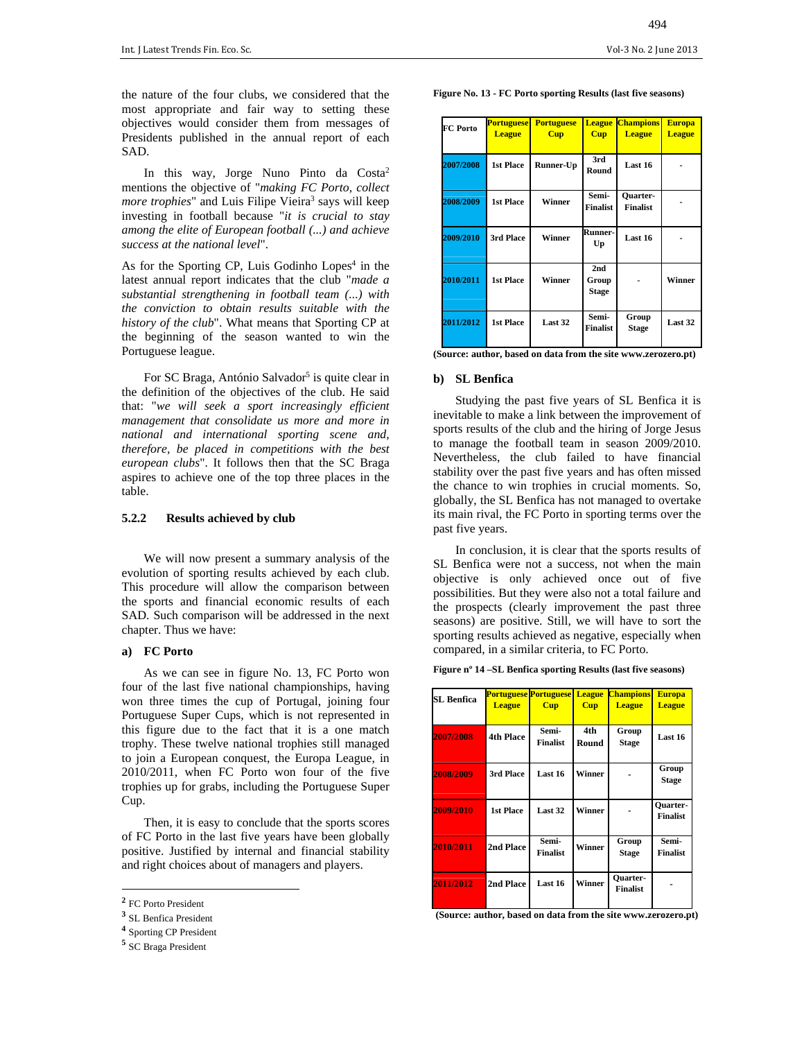the nature of the four clubs, we considered that the most appropriate and fair way to setting these objectives would consider them from messages of Presidents published in the annual report of each SAD.

In this way, Jorge Nuno Pinto da Costa<sup>2</sup> mentions the objective of "*making FC Porto, collect*  more trophies" and Luis Filipe Vieira<sup>3</sup> says will keep investing in football because "*it is crucial to stay among the elite of European football (...) and achieve success at the national level*".

As for the Sporting CP, Luis Godinho Lopes<sup>4</sup> in the latest annual report indicates that the club "*made a substantial strengthening in football team (...) with the conviction to obtain results suitable with the history of the club*". What means that Sporting CP at the beginning of the season wanted to win the Portuguese league.

For SC Braga, António Salvador<sup>5</sup> is quite clear in the definition of the objectives of the club. He said that: "*we will seek a sport increasingly efficient management that consolidate us more and more in national and international sporting scene and, therefore, be placed in competitions with the best european clubs*". It follows then that the SC Braga aspires to achieve one of the top three places in the table.

#### **5.2.2 Results achieved by club**

We will now present a summary analysis of the evolution of sporting results achieved by each club. This procedure will allow the comparison between the sports and financial economic results of each SAD. Such comparison will be addressed in the next chapter. Thus we have:

#### **a) FC Porto**

As we can see in figure No. 13, FC Porto won four of the last five national championships, having won three times the cup of Portugal, joining four Portuguese Super Cups, which is not represented in this figure due to the fact that it is a one match trophy. These twelve national trophies still managed to join a European conquest, the Europa League, in 2010/2011, when FC Porto won four of the five trophies up for grabs, including the Portuguese Super Cup.

Then, it is easy to conclude that the sports scores of FC Porto in the last five years have been globally positive. Justified by internal and financial stability and right choices about of managers and players.

**Figure No. 13 - FC Porto sporting Results (last five seasons)** 

| <b>FC</b> Porto | <b>Portuguese</b><br><b>League</b> | <b>Portuguese</b><br><b>Cup</b> | <b>League</b><br><b>Cup</b>  | <b>Champions</b><br><b>League</b> | <b>Europa</b><br><b>League</b> |
|-----------------|------------------------------------|---------------------------------|------------------------------|-----------------------------------|--------------------------------|
| 2007/2008       | <b>1st Place</b>                   | Runner-Up                       | 3rd<br>Round                 | Last 16                           |                                |
| 2008/2009       | <b>1st Place</b>                   | Winner                          | Semi-<br><b>Finalist</b>     | Quarter-<br><b>Finalist</b>       |                                |
| 2009/2010       | 3rd Place                          | Winner                          | Runner-<br>Up                | Last 16                           |                                |
| 2010/2011       | <b>1st Place</b>                   | Winner                          | 2nd<br>Group<br><b>Stage</b> |                                   | Winner                         |
| 2011/2012       | <b>1st Place</b>                   | Last 32                         | Semi-<br><b>Finalist</b>     | Group<br><b>Stage</b>             | Last 32                        |

|  |  |  | (Source: author, based on data from the site www.zerozero.pt) |
|--|--|--|---------------------------------------------------------------|
|--|--|--|---------------------------------------------------------------|

#### **b) SL Benfica**

Studying the past five years of SL Benfica it is inevitable to make a link between the improvement of sports results of the club and the hiring of Jorge Jesus to manage the football team in season 2009/2010. Nevertheless, the club failed to have financial stability over the past five years and has often missed the chance to win trophies in crucial moments. So, globally, the SL Benfica has not managed to overtake its main rival, the FC Porto in sporting terms over the past five years.

In conclusion, it is clear that the sports results of SL Benfica were not a success, not when the main objective is only achieved once out of five possibilities. But they were also not a total failure and the prospects (clearly improvement the past three seasons) are positive. Still, we will have to sort the sporting results achieved as negative, especially when compared, in a similar criteria, to FC Porto.

|  |  | Figure n° 14 –SL Benfica sporting Results (last five seasons) |  |
|--|--|---------------------------------------------------------------|--|
|--|--|---------------------------------------------------------------|--|

| <b>SL Benfica</b> | <b>League</b>    | <b>Portuguese Portuguese League</b><br><b>Cup</b> | <b>Cup</b>   | <b>Champions</b><br><b>League</b>  | <b>Europa</b><br><b>League</b>     |
|-------------------|------------------|---------------------------------------------------|--------------|------------------------------------|------------------------------------|
| 2007/2008         | <b>4th Place</b> | Semi-<br><b>Finalist</b>                          | 4th<br>Round | Group<br><b>Stage</b>              | Last 16                            |
| 2008/2009         | 3rd Place        | Last 16                                           | Winner       |                                    | Group<br><b>Stage</b>              |
| 2009/2010         | <b>1st Place</b> | Last 32                                           | Winner       |                                    | <b>Ouarter-</b><br><b>Finalist</b> |
| 2010/2011         | 2nd Place        | Semi-<br><b>Finalist</b>                          | Winner       | Group<br><b>Stage</b>              | Semi-<br><b>Finalist</b>           |
| 2011/2012         | <b>2nd Place</b> | Last 16                                           | Winner       | <b>Ouarter-</b><br><b>Finalist</b> |                                    |

 **(Source: author, based on data from the site www.zerozero.pt)** 

**<sup>2</sup>** FC Porto President

**<sup>3</sup>** SL Benfica President

**<sup>4</sup>** Sporting CP President

**<sup>5</sup>** SC Braga President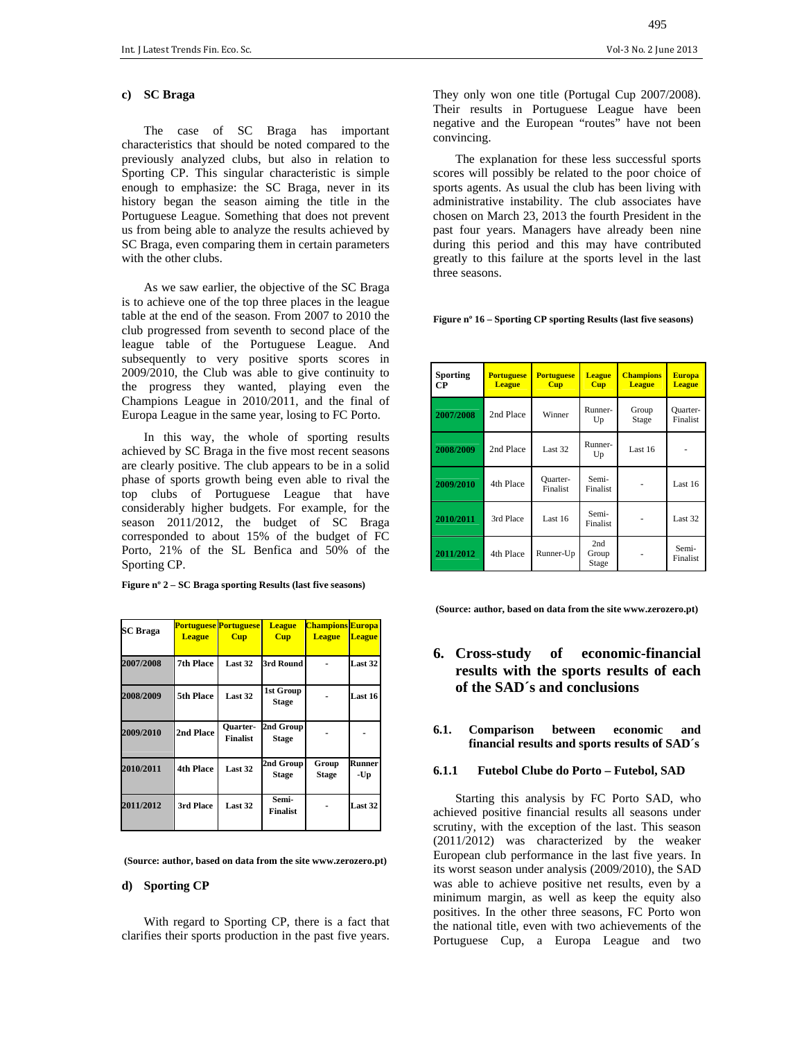#### **c) SC Braga**

The case of SC Braga has important characteristics that should be noted compared to the previously analyzed clubs, but also in relation to Sporting CP. This singular characteristic is simple enough to emphasize: the SC Braga, never in its history began the season aiming the title in the Portuguese League. Something that does not prevent us from being able to analyze the results achieved by SC Braga, even comparing them in certain parameters with the other clubs.

As we saw earlier, the objective of the SC Braga is to achieve one of the top three places in the league table at the end of the season. From 2007 to 2010 the club progressed from seventh to second place of the league table of the Portuguese League. And subsequently to very positive sports scores in 2009/2010, the Club was able to give continuity to the progress they wanted, playing even the Champions League in 2010/2011, and the final of Europa League in the same year, losing to FC Porto.

In this way, the whole of sporting results achieved by SC Braga in the five most recent seasons are clearly positive. The club appears to be in a solid phase of sports growth being even able to rival the top clubs of Portuguese League that have considerably higher budgets. For example, for the season 2011/2012, the budget of SC Braga corresponded to about 15% of the budget of FC Porto, 21% of the SL Benfica and 50% of the Sporting CP.

|  | Figure $n^{\circ}$ 2 – SC Braga sporting Results (last five seasons) |  |
|--|----------------------------------------------------------------------|--|
|  |                                                                      |  |

| <b>SC Braga</b> | <b>League</b>    | <b>Portuguese Portuguese</b><br><b>Cup</b> | <b>League</b><br><b>Cup</b> | <b>Champions Europa</b><br><b>League</b> | <b>League</b>        |
|-----------------|------------------|--------------------------------------------|-----------------------------|------------------------------------------|----------------------|
| 2007/2008       | <b>7th Place</b> | Last 32                                    | 3rd Round                   |                                          | Last 32              |
| 2008/2009       | 5th Place        | Last 32                                    | 1st Group<br><b>Stage</b>   |                                          | <b>Last 16</b>       |
| 2009/2010       | <b>2nd Place</b> | <b>Ouarter-</b><br><b>Finalist</b>         | 2nd Group<br><b>Stage</b>   |                                          |                      |
| 2010/2011       | <b>4th Place</b> | Last 32                                    | 2nd Group<br><b>Stage</b>   | Group<br><b>Stage</b>                    | <b>Runner</b><br>-Up |
| 2011/2012       | 3rd Place        | Last 32                                    | Semi-<br>Finalist           |                                          | <b>Last 32</b>       |

 **(Source: author, based on data from the site www.zerozero.pt)** 

#### **d) Sporting CP**

With regard to Sporting CP, there is a fact that clarifies their sports production in the past five years.

They only won one title (Portugal Cup 2007/2008). Their results in Portuguese League have been negative and the European "routes" have not been convincing.

The explanation for these less successful sports scores will possibly be related to the poor choice of sports agents. As usual the club has been living with administrative instability. The club associates have chosen on March 23, 2013 the fourth President in the past four years. Managers have already been nine during this period and this may have contributed greatly to this failure at the sports level in the last three seasons.

|  |  |  | Figure n° 16 – Sporting CP sporting Results (last five seasons) |
|--|--|--|-----------------------------------------------------------------|
|--|--|--|-----------------------------------------------------------------|

| <b>Sporting</b><br>CР | <b>Portuguese</b><br><b>League</b> | <b>Portuguese</b><br><b>Cup</b> | <b>League</b><br><b>Cup</b> | <b>Champions</b><br><b>League</b> | <b>Europa</b><br><b>League</b> |
|-----------------------|------------------------------------|---------------------------------|-----------------------------|-----------------------------------|--------------------------------|
| 2007/2008             | 2nd Place                          | Winner                          | Runner-<br>Up               | Group<br>Stage                    | Quarter-<br>Finalist           |
| 2008/2009             | 2nd Place                          | Last 32                         | Runner-<br>Up               | Last $16$                         |                                |
| 2009/2010             | 4th Place                          | Quarter-<br>Finalist            | Semi-<br>Finalist           |                                   | Last 16                        |
| 2010/2011             | 3rd Place                          | Last $16$                       | Semi-<br>Finalist           |                                   | Last 32                        |
| 2011/2012             | 4th Place                          | Runner-Up                       | 2nd<br>Group<br>Stage       |                                   | Semi-<br>Finalist              |

 **(Source: author, based on data from the site www.zerozero.pt)** 

# **6. Cross-study of economic-financial results with the sports results of each of the SAD´s and conclusions**

### **6.1. Comparison between economic and financial results and sports results of SAD´s**

#### **6.1.1 Futebol Clube do Porto – Futebol, SAD**

Starting this analysis by FC Porto SAD, who achieved positive financial results all seasons under scrutiny, with the exception of the last. This season (2011/2012) was characterized by the weaker European club performance in the last five years. In its worst season under analysis (2009/2010), the SAD was able to achieve positive net results, even by a minimum margin, as well as keep the equity also positives. In the other three seasons, FC Porto won the national title, even with two achievements of the Portuguese Cup, a Europa League and two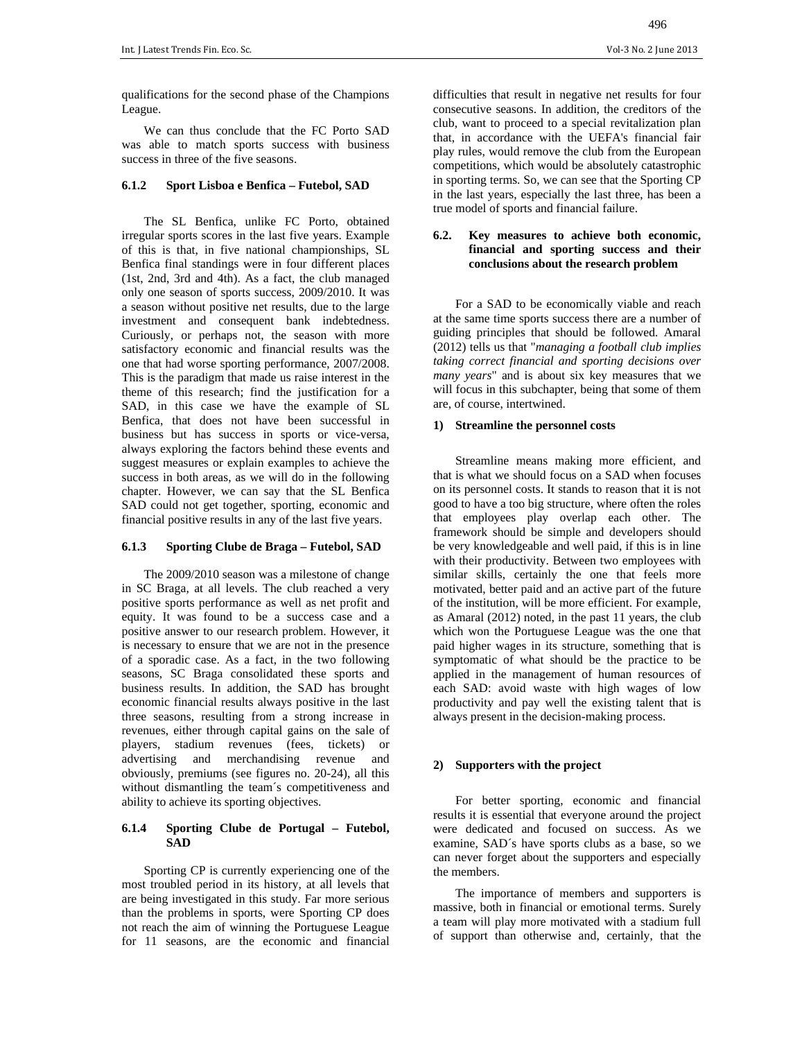qualifications for the second phase of the Champions League.

We can thus conclude that the FC Porto SAD was able to match sports success with business success in three of the five seasons.

#### **6.1.2 Sport Lisboa e Benfica – Futebol, SAD**

The SL Benfica, unlike FC Porto, obtained irregular sports scores in the last five years. Example of this is that, in five national championships, SL Benfica final standings were in four different places (1st, 2nd, 3rd and 4th). As a fact, the club managed only one season of sports success, 2009/2010. It was a season without positive net results, due to the large investment and consequent bank indebtedness. Curiously, or perhaps not, the season with more satisfactory economic and financial results was the one that had worse sporting performance, 2007/2008. This is the paradigm that made us raise interest in the theme of this research; find the justification for a SAD, in this case we have the example of SL Benfica, that does not have been successful in business but has success in sports or vice-versa, always exploring the factors behind these events and suggest measures or explain examples to achieve the success in both areas, as we will do in the following chapter. However, we can say that the SL Benfica SAD could not get together, sporting, economic and financial positive results in any of the last five years.

#### **6.1.3 Sporting Clube de Braga – Futebol, SAD**

The 2009/2010 season was a milestone of change in SC Braga, at all levels. The club reached a very positive sports performance as well as net profit and equity. It was found to be a success case and a positive answer to our research problem. However, it is necessary to ensure that we are not in the presence of a sporadic case. As a fact, in the two following seasons, SC Braga consolidated these sports and business results. In addition, the SAD has brought economic financial results always positive in the last three seasons, resulting from a strong increase in revenues, either through capital gains on the sale of players, stadium revenues (fees, tickets) or advertising and merchandising revenue and obviously, premiums (see figures no. 20-24), all this without dismantling the team´s competitiveness and ability to achieve its sporting objectives.

#### **6.1.4 Sporting Clube de Portugal – Futebol, SAD**

Sporting CP is currently experiencing one of the most troubled period in its history, at all levels that are being investigated in this study. Far more serious than the problems in sports, were Sporting CP does not reach the aim of winning the Portuguese League for 11 seasons, are the economic and financial

difficulties that result in negative net results for four consecutive seasons. In addition, the creditors of the club, want to proceed to a special revitalization plan that, in accordance with the UEFA's financial fair play rules, would remove the club from the European competitions, which would be absolutely catastrophic in sporting terms. So, we can see that the Sporting CP in the last years, especially the last three, has been a true model of sports and financial failure.

### **6.2. Key measures to achieve both economic, financial and sporting success and their conclusions about the research problem**

For a SAD to be economically viable and reach at the same time sports success there are a number of guiding principles that should be followed. Amaral (2012) tells us that "*managing a football club implies taking correct financial and sporting decisions over many years*" and is about six key measures that we will focus in this subchapter, being that some of them are, of course, intertwined.

#### **1) Streamline the personnel costs**

Streamline means making more efficient, and that is what we should focus on a SAD when focuses on its personnel costs. It stands to reason that it is not good to have a too big structure, where often the roles that employees play overlap each other. The framework should be simple and developers should be very knowledgeable and well paid, if this is in line with their productivity. Between two employees with similar skills, certainly the one that feels more motivated, better paid and an active part of the future of the institution, will be more efficient. For example, as Amaral (2012) noted, in the past 11 years, the club which won the Portuguese League was the one that paid higher wages in its structure, something that is symptomatic of what should be the practice to be applied in the management of human resources of each SAD: avoid waste with high wages of low productivity and pay well the existing talent that is always present in the decision-making process.

### **2) Supporters with the project**

For better sporting, economic and financial results it is essential that everyone around the project were dedicated and focused on success. As we examine, SAD´s have sports clubs as a base, so we can never forget about the supporters and especially the members.

The importance of members and supporters is massive, both in financial or emotional terms. Surely a team will play more motivated with a stadium full of support than otherwise and, certainly, that the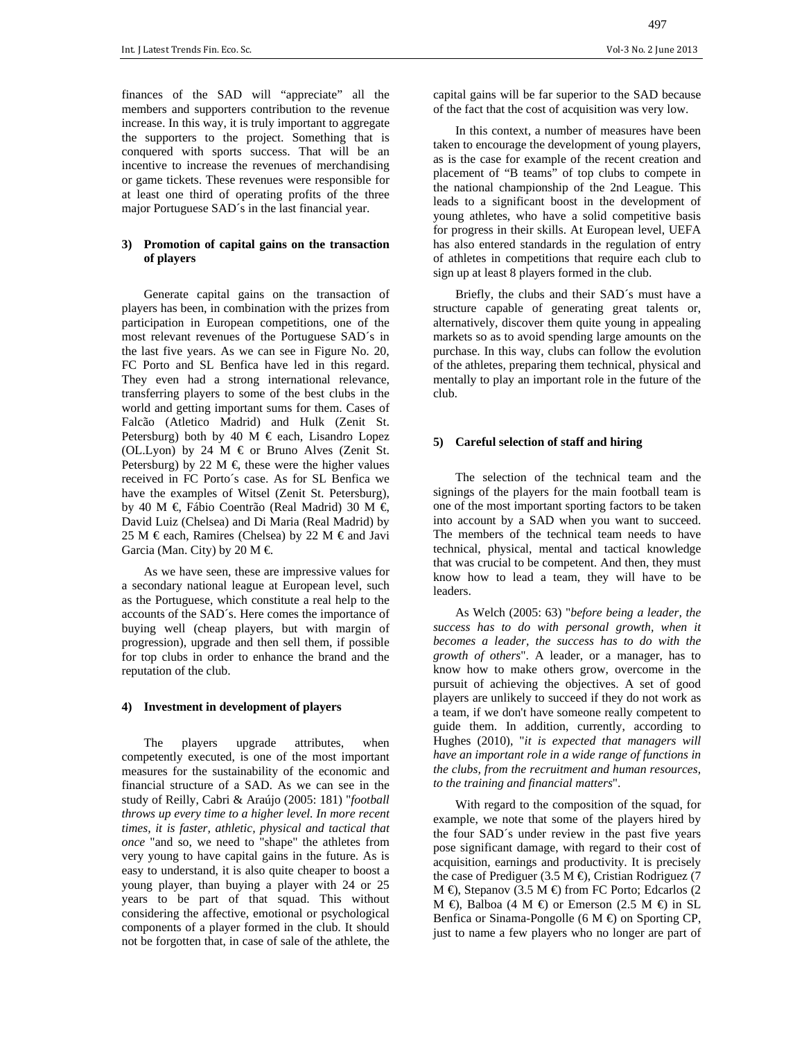Int. J Latest Trends Fin. Eco. Sc. Vol‐3 No. 2 June 2013 

finances of the SAD will "appreciate" all the members and supporters contribution to the revenue increase. In this way, it is truly important to aggregate the supporters to the project. Something that is conquered with sports success. That will be an incentive to increase the revenues of merchandising or game tickets. These revenues were responsible for at least one third of operating profits of the three major Portuguese SAD´s in the last financial year.

### **3) Promotion of capital gains on the transaction of players**

Generate capital gains on the transaction of players has been, in combination with the prizes from participation in European competitions, one of the most relevant revenues of the Portuguese SAD´s in the last five years. As we can see in Figure No. 20, FC Porto and SL Benfica have led in this regard. They even had a strong international relevance, transferring players to some of the best clubs in the world and getting important sums for them. Cases of Falcão (Atletico Madrid) and Hulk (Zenit St. Petersburg) both by 40 M  $\in$  each, Lisandro Lopez (OL.Lyon) by 24 M  $\in$  or Bruno Alves (Zenit St. Petersburg) by 22 M  $\in$  these were the higher values received in FC Porto´s case. As for SL Benfica we have the examples of Witsel (Zenit St. Petersburg), by 40 M €, Fábio Coentrão (Real Madrid) 30 M € David Luiz (Chelsea) and Di Maria (Real Madrid) by 25 M € each, Ramires (Chelsea) by 22 M € and Javi Garcia (Man. City) by 20 M  $\in$ 

As we have seen, these are impressive values for a secondary national league at European level, such as the Portuguese, which constitute a real help to the accounts of the SAD´s. Here comes the importance of buying well (cheap players, but with margin of progression), upgrade and then sell them, if possible for top clubs in order to enhance the brand and the reputation of the club.

#### **4) Investment in development of players**

The players upgrade attributes, when competently executed, is one of the most important measures for the sustainability of the economic and financial structure of a SAD. As we can see in the study of Reilly, Cabri & Araújo (2005: 181) "*football throws up every time to a higher level. In more recent times, it is faster, athletic, physical and tactical that once* "and so, we need to "shape" the athletes from very young to have capital gains in the future. As is easy to understand, it is also quite cheaper to boost a young player, than buying a player with 24 or 25 years to be part of that squad. This without considering the affective, emotional or psychological components of a player formed in the club. It should not be forgotten that, in case of sale of the athlete, the

In this context, a number of measures have been taken to encourage the development of young players, as is the case for example of the recent creation and placement of "B teams" of top clubs to compete in the national championship of the 2nd League. This leads to a significant boost in the development of young athletes, who have a solid competitive basis for progress in their skills. At European level, UEFA has also entered standards in the regulation of entry of athletes in competitions that require each club to sign up at least 8 players formed in the club.

Briefly, the clubs and their SAD´s must have a structure capable of generating great talents or, alternatively, discover them quite young in appealing markets so as to avoid spending large amounts on the purchase. In this way, clubs can follow the evolution of the athletes, preparing them technical, physical and mentally to play an important role in the future of the club.

#### **5) Careful selection of staff and hiring**

The selection of the technical team and the signings of the players for the main football team is one of the most important sporting factors to be taken into account by a SAD when you want to succeed. The members of the technical team needs to have technical, physical, mental and tactical knowledge that was crucial to be competent. And then, they must know how to lead a team, they will have to be leaders.

As Welch (2005: 63) "*before being a leader, the success has to do with personal growth, when it becomes a leader, the success has to do with the growth of others*". A leader, or a manager, has to know how to make others grow, overcome in the pursuit of achieving the objectives. A set of good players are unlikely to succeed if they do not work as a team, if we don't have someone really competent to guide them. In addition, currently, according to Hughes (2010), "*it is expected that managers will have an important role in a wide range of functions in the clubs, from the recruitment and human resources, to the training and financial matters*".

With regard to the composition of the squad, for example, we note that some of the players hired by the four SAD´s under review in the past five years pose significant damage, with regard to their cost of acquisition, earnings and productivity. It is precisely the case of Prediguer (3.5 M  $\oplus$ ), Cristian Rodriguez (7  $M \bigoplus$ , Stepanov (3.5 M  $\bigoplus$  from FC Porto; Edcarlos (2)  $M \oplus$ , Balboa (4 M  $\oplus$ ) or Emerson (2.5 M  $\oplus$ ) in SL Benfica or Sinama-Pongolle (6 M  $\oplus$  on Sporting CP, just to name a few players who no longer are part of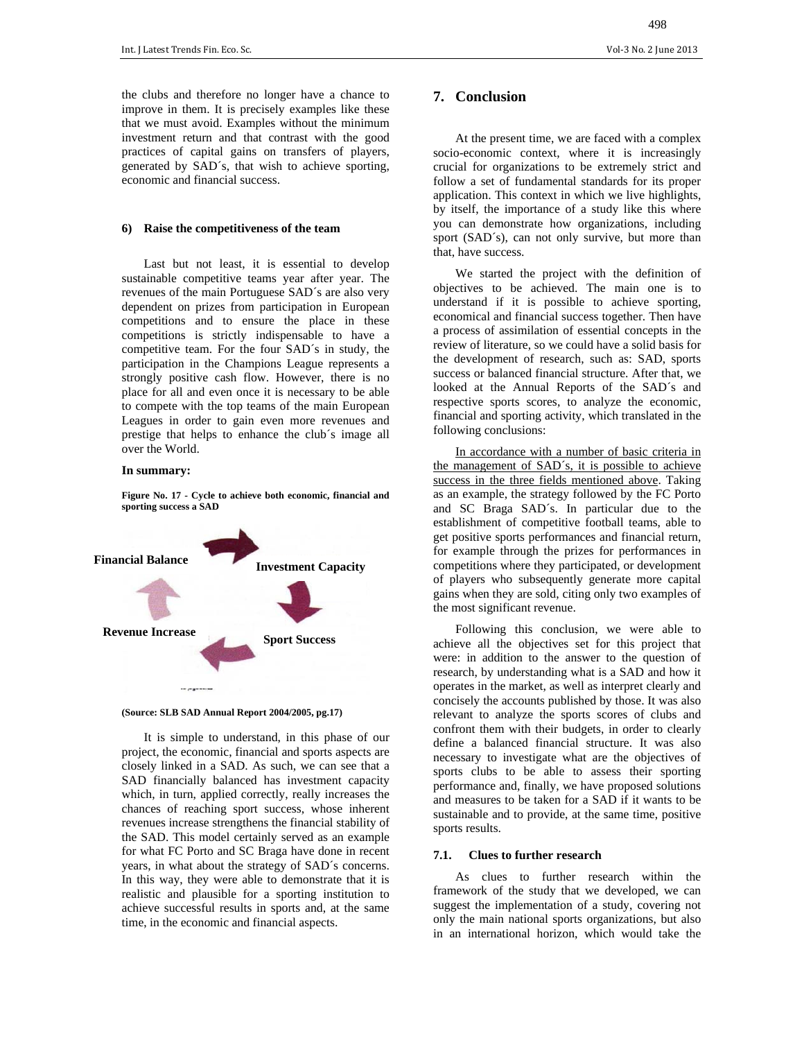the clubs and therefore no longer have a chance to improve in them. It is precisely examples like these that we must avoid. Examples without the minimum investment return and that contrast with the good practices of capital gains on transfers of players, generated by SAD´s, that wish to achieve sporting, economic and financial success.

#### **6) Raise the competitiveness of the team**

Last but not least, it is essential to develop sustainable competitive teams year after year. The revenues of the main Portuguese SAD´s are also very dependent on prizes from participation in European competitions and to ensure the place in these competitions is strictly indispensable to have a competitive team. For the four SAD´s in study, the participation in the Champions League represents a strongly positive cash flow. However, there is no place for all and even once it is necessary to be able to compete with the top teams of the main European Leagues in order to gain even more revenues and prestige that helps to enhance the club´s image all over the World.

#### **In summary:**

**Figure No. 17 - Cycle to achieve both economic, financial and sporting success a SAD**





It is simple to understand, in this phase of our project, the economic, financial and sports aspects are closely linked in a SAD. As such, we can see that a SAD financially balanced has investment capacity which, in turn, applied correctly, really increases the chances of reaching sport success, whose inherent revenues increase strengthens the financial stability of the SAD. This model certainly served as an example for what FC Porto and SC Braga have done in recent years, in what about the strategy of SAD´s concerns. In this way, they were able to demonstrate that it is realistic and plausible for a sporting institution to achieve successful results in sports and, at the same time, in the economic and financial aspects.

# **7. Conclusion**

At the present time, we are faced with a complex socio-economic context, where it is increasingly crucial for organizations to be extremely strict and follow a set of fundamental standards for its proper application. This context in which we live highlights, by itself, the importance of a study like this where you can demonstrate how organizations, including sport (SAD´s), can not only survive, but more than that, have success.

We started the project with the definition of objectives to be achieved. The main one is to understand if it is possible to achieve sporting, economical and financial success together. Then have a process of assimilation of essential concepts in the review of literature, so we could have a solid basis for the development of research, such as: SAD, sports success or balanced financial structure. After that, we looked at the Annual Reports of the SAD´s and respective sports scores, to analyze the economic, financial and sporting activity, which translated in the following conclusions:

In accordance with a number of basic criteria in the management of SAD´s, it is possible to achieve success in the three fields mentioned above. Taking as an example, the strategy followed by the FC Porto and SC Braga SAD´s. In particular due to the establishment of competitive football teams, able to get positive sports performances and financial return, for example through the prizes for performances in competitions where they participated, or development of players who subsequently generate more capital gains when they are sold, citing only two examples of the most significant revenue.

Following this conclusion, we were able to achieve all the objectives set for this project that were: in addition to the answer to the question of research, by understanding what is a SAD and how it operates in the market, as well as interpret clearly and concisely the accounts published by those. It was also relevant to analyze the sports scores of clubs and confront them with their budgets, in order to clearly define a balanced financial structure. It was also necessary to investigate what are the objectives of sports clubs to be able to assess their sporting performance and, finally, we have proposed solutions and measures to be taken for a SAD if it wants to be sustainable and to provide, at the same time, positive sports results.

#### **7.1. Clues to further research**

As clues to further research within the framework of the study that we developed, we can suggest the implementation of a study, covering not only the main national sports organizations, but also in an international horizon, which would take the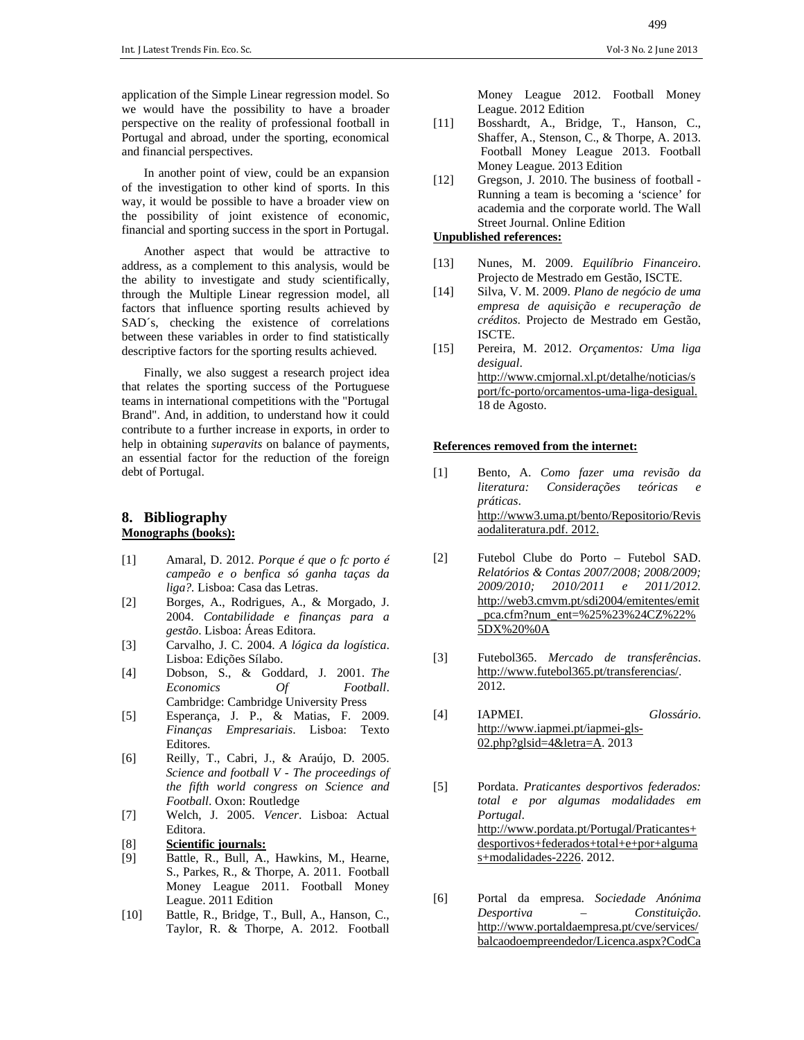application of the Simple Linear regression model. So we would have the possibility to have a broader perspective on the reality of professional football in Portugal and abroad, under the sporting, economical and financial perspectives.

In another point of view, could be an expansion of the investigation to other kind of sports. In this way, it would be possible to have a broader view on the possibility of joint existence of economic, financial and sporting success in the sport in Portugal.

Another aspect that would be attractive to address, as a complement to this analysis, would be the ability to investigate and study scientifically, through the Multiple Linear regression model, all factors that influence sporting results achieved by SAD´s, checking the existence of correlations between these variables in order to find statistically descriptive factors for the sporting results achieved.

Finally, we also suggest a research project idea that relates the sporting success of the Portuguese teams in international competitions with the "Portugal Brand". And, in addition, to understand how it could contribute to a further increase in exports, in order to help in obtaining *superavits* on balance of payments, an essential factor for the reduction of the foreign debt of Portugal.

# **8. Bibliography Monographs (books):**

- [1] Amaral, D. 2012. *Porque é que o fc porto é campeão e o benfica só ganha taças da liga?.* Lisboa: Casa das Letras.
- [2] Borges, A., Rodrigues, A., & Morgado, J. 2004. *Contabilidade e finanças para a gestão*. Lisboa: Áreas Editora.
- [3] Carvalho, J. C. 2004. *A lógica da logística*. Lisboa: Edições Sílabo.
- [4] Dobson, S., & Goddard, J. 2001. *The Economics Of Football*. Cambridge: Cambridge University Press
- [5] Esperança, J. P., & Matias, F. 2009. *Finanças Empresariais*. Lisboa: Texto Editores.
- [6] Reilly, T., Cabri, J., & Araújo, D. 2005. *Science and football V - The proceedings of the fifth world congress on Science and Football*. Oxon: Routledge
- [7] Welch, J. 2005. *Vencer*. Lisboa: Actual Editora.
- [8] **Scientific journals:**
- [9] Battle, R., Bull, A., Hawkins, M., Hearne, S., Parkes, R., & Thorpe, A. 2011. Football Money League 2011. Football Money League. 2011 Edition
- [10] Battle, R., Bridge, T., Bull, A., Hanson, C., Taylor, R. & Thorpe, A. 2012. Football

Money League 2012. Football Money League. 2012 Edition

- [11] Bosshardt, A., Bridge, T., Hanson, C., Shaffer, A., Stenson, C., & Thorpe, A. 2013. Football Money League 2013. Football Money League. 2013 Edition
- [12] Gregson, J. 2010. The business of football -Running a team is becoming a 'science' for academia and the corporate world. The Wall Street Journal. Online Edition

# **Unpublished references:**

- [13] Nunes, M. 2009. *Equilíbrio Financeiro*. Projecto de Mestrado em Gestão, ISCTE.
- [14] Silva, V. M. 2009. *Plano de negócio de uma empresa de aquisição e recuperação de créditos*. Projecto de Mestrado em Gestão, ISCTE.
- [15] Pereira, M. 2012. *Orçamentos: Uma liga desigual*. http://www.cmjornal.xl.pt/detalhe/noticias/s port/fc-porto/orcamentos-uma-liga-desigual. 18 de Agosto.

#### **References removed from the internet:**

- [1] Bento, A. *Como fazer uma revisão da literatura:* Considerações teóricas *práticas*. http://www3.uma.pt/bento/Repositorio/Revis aodaliteratura.pdf. 2012.
- [2] Futebol Clube do Porto Futebol SAD. *Relatórios & Contas 2007/2008; 2008/2009; 2009/2010; 2010/2011 e 2011/2012.* http://web3.cmvm.pt/sdi2004/emitentes/emit \_pca.cfm?num\_ent=%25%23%24CZ%22% 5DX%20%0A
- [3] Futebol365. *Mercado de transferências*. http://www.futebol365.pt/transferencias/. 2012.
- [4] IAPMEI. *Glossário*. http://www.iapmei.pt/iapmei-gls-02.php?glsid=4&letra=A. 2013
- [5] Pordata. *Praticantes desportivos federados: total e por algumas modalidades em Portugal*. http://www.pordata.pt/Portugal/Praticantes+ desportivos+federados+total+e+por+alguma s+modalidades-2226. 2012.
- [6] Portal da empresa. *Sociedade Anónima Desportiva – Constituição*. http://www.portaldaempresa.pt/cve/services/ balcaodoempreendedor/Licenca.aspx?CodCa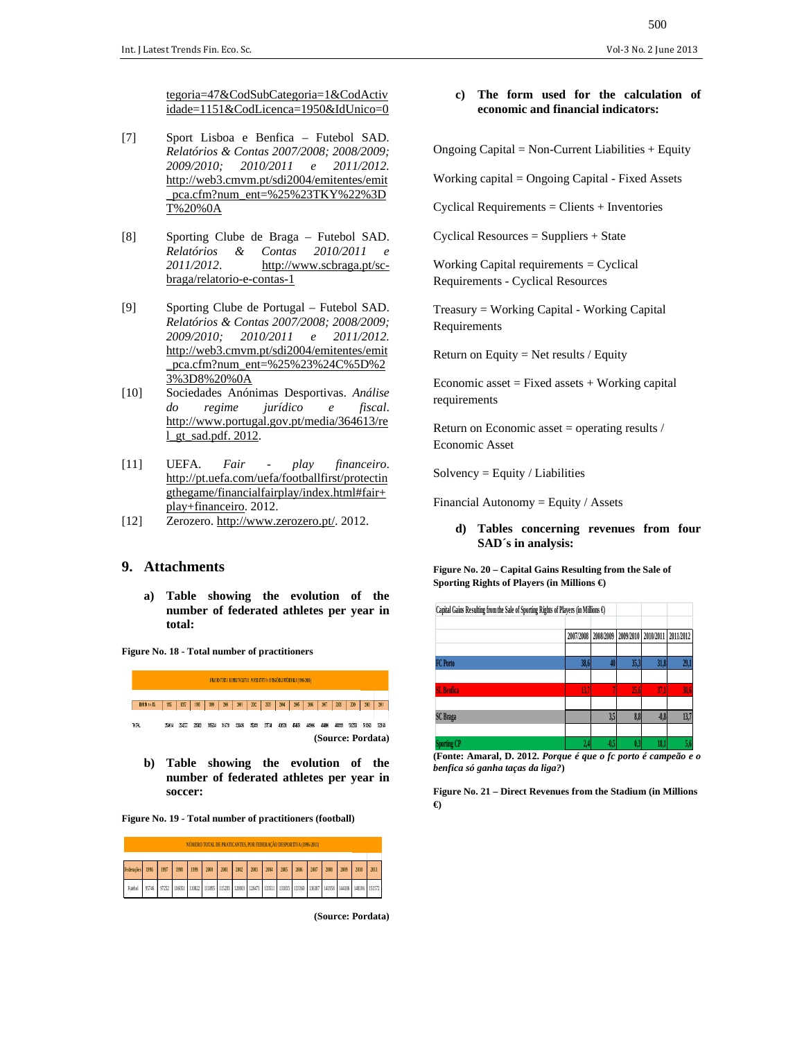tegoria=47&CodSubCategoria=1&CodActiv idade=1151&CodLicenca=1950&IdUnico=0

- [7] Sport Lisboa e Benfica Futebol SAD. *Relatórios & Contas 2007/2008; 2008/2009; 2009/2010; 2010/2011 e 2011/2012.* http://web3.cmvm.pt/sdi2004/emitentes/emit pca.cfm?num\_ent=%25%23TKY%22%3D T%20%0A
- [8] Sporting Clube de Braga Futebol SAD. *Relatórios & Contas 2010/2011 e*  2011/2012. http://www.scbraga.pt/scbraga/relatorio-e-contas-1
- [9] Sporting Clube de Portugal Futebol SAD. *Relatórios & Contas 2007/2008; 2008/2009; 2009/2010; 2010/2011 e 2011/2012.* http://web3.cmvm.pt/sdi2004/emitentes/emit \_pca.cfm?num\_ent=%25%23%24C%5D%2 3%3D8%20%0A
- [10] Sociedades Anónimas Desportivas. *Análise do regime jurídico e fiscal*. http://www.portugal.gov.pt/media/364613/re l\_gt\_sad.pdf. 2012.
- [11] UEFA. *Fair play financeiro*. http://pt.uefa.com/uefa/footballfirst/protectin gthegame/financialfairplay/index.html#fair+ play+financeiro. 2012.
- [12] Zerozero. http://www.zerozero.pt/. 2012.

# **9. Attachments**

**a) Table showing the evolution of the number of federated athletes per year in total:** 

**Figure No. 18 - Total number of practitioners** 



**b) Table showing the evolution of the number of federated athletes per year in soccer:** 

**Figure No. 19 - Total number of practitioners (football)** 



**(Source: Pordata)**

#### **c) The form used for the calculation of economic and financial indicators:**

Ongoing Capital = Non-Current Liabilities  $+$  Equity

Working capital = Ongoing Capital - Fixed Assets

Cyclical Requirements = Clients + Inventories

Cyclical Resources = Suppliers + State

Working Capital requirements = Cyclical Requirements - Cyclical Resources

Treasury = Working Capital - Working Capital Requirements

Return on Equity  $=$  Net results / Equity

Economic asset  $=$  Fixed assets  $+$  Working capital requirements

Return on Economic asset = operating results / Economic Asset

 $Solvency = Equity / Liabilities$ 

Financial Autonomy  $=$  Equity / Assets

**d) Tables concerning revenues from four SAD´s in analysis:** 

**Figure No. 20 – Capital Gains Resulting from the Sale of Sporting Rights of Players (in Millions €)** 

| Capital Gains Resulting from the Sale of Sporting Rights of Players (in Millions $\Theta$ ) |           |           |           |           |           |
|---------------------------------------------------------------------------------------------|-----------|-----------|-----------|-----------|-----------|
|                                                                                             | 2007/2008 | 2008/2009 | 2009/2010 | 2010/2011 | 2011/2012 |
| <b>FC</b> Porto                                                                             | 38,6      | 4         | 35.3      | 31.8      | 29,1      |
| <b>SL</b> Benfica                                                                           | 137       |           | 25.6      | 37.1      | 30.6      |
| <b>SC</b> Braga                                                                             |           | 3,5       | 8,8       | $-0.8$    | 13,7      |
| <b>Sporting CP</b>                                                                          |           | 0.5       | 0,3       | 18.1      | 5,6       |

**<sup>(</sup>Fonte: Amaral, D. 2012.** *Porque é que o fc porto é campeão e o benfica só ganha taças da liga?***)**

**Figure No. 21 – Direct Revenues from the Stadium (in Millions €)**